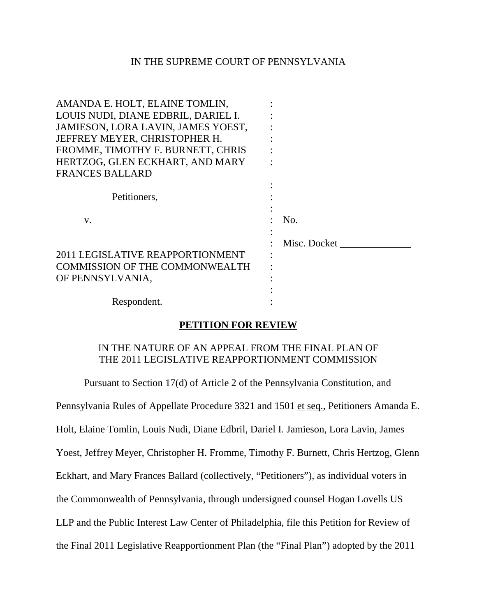### IN THE SUPREME COURT OF PENNSYLVANIA

| AMANDA E. HOLT, ELAINE TOMLIN,        |              |
|---------------------------------------|--------------|
| LOUIS NUDI, DIANE EDBRIL, DARIEL I.   |              |
| JAMIESON, LORA LAVIN, JAMES YOEST,    |              |
| JEFFREY MEYER, CHRISTOPHER H.         |              |
| FROMME, TIMOTHY F. BURNETT, CHRIS     |              |
| HERTZOG, GLEN ECKHART, AND MARY       |              |
| <b>FRANCES BALLARD</b>                |              |
|                                       |              |
| Petitioners,                          |              |
|                                       |              |
| V.                                    | No.          |
|                                       |              |
|                                       | Misc. Docket |
| 2011 LEGISLATIVE REAPPORTIONMENT      |              |
| <b>COMMISSION OF THE COMMONWEALTH</b> |              |
| OF PENNSYLVANIA,                      |              |
|                                       |              |
| Respondent.                           |              |
|                                       |              |

### **PETITION FOR REVIEW**

# IN THE NATURE OF AN APPEAL FROM THE FINAL PLAN OF THE 2011 LEGISLATIVE REAPPORTIONMENT COMMISSION

Pursuant to Section 17(d) of Article 2 of the Pennsylvania Constitution, and

Pennsylvania Rules of Appellate Procedure 3321 and 1501 et seq., Petitioners Amanda E.

Holt, Elaine Tomlin, Louis Nudi, Diane Edbril, Dariel I. Jamieson, Lora Lavin, James

Yoest, Jeffrey Meyer, Christopher H. Fromme, Timothy F. Burnett, Chris Hertzog, Glenn

Eckhart, and Mary Frances Ballard (collectively, "Petitioners"), as individual voters in

the Commonwealth of Pennsylvania, through undersigned counsel Hogan Lovells US

LLP and the Public Interest Law Center of Philadelphia, file this Petition for Review of

the Final 2011 Legislative Reapportionment Plan (the "Final Plan") adopted by the 2011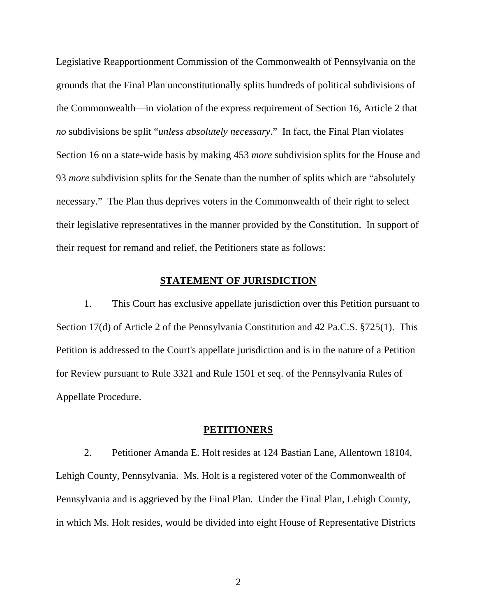Legislative Reapportionment Commission of the Commonwealth of Pennsylvania on the grounds that the Final Plan unconstitutionally splits hundreds of political subdivisions of the Commonwealth—in violation of the express requirement of Section 16, Article 2 that *no* subdivisions be split "*unless absolutely necessary*." In fact, the Final Plan violates Section 16 on a state-wide basis by making 453 *more* subdivision splits for the House and 93 *more* subdivision splits for the Senate than the number of splits which are "absolutely necessary."The Plan thus deprives voters in the Commonwealth of their right to select their legislative representatives in the manner provided by the Constitution. In support of their request for remand and relief, the Petitioners state as follows:

### **STATEMENT OF JURISDICTION**

1. This Court has exclusive appellate jurisdiction over this Petition pursuant to Section 17(d) of Article 2 of the Pennsylvania Constitution and 42 Pa.C.S. §725(1). This Petition is addressed to the Court's appellate jurisdiction and is in the nature of a Petition for Review pursuant to Rule 3321 and Rule 1501 et seq. of the Pennsylvania Rules of Appellate Procedure.

#### **PETITIONERS**

2. Petitioner Amanda E. Holt resides at 124 Bastian Lane, Allentown 18104, Lehigh County, Pennsylvania. Ms. Holt is a registered voter of the Commonwealth of Pennsylvania and is aggrieved by the Final Plan. Under the Final Plan, Lehigh County, in which Ms. Holt resides, would be divided into eight House of Representative Districts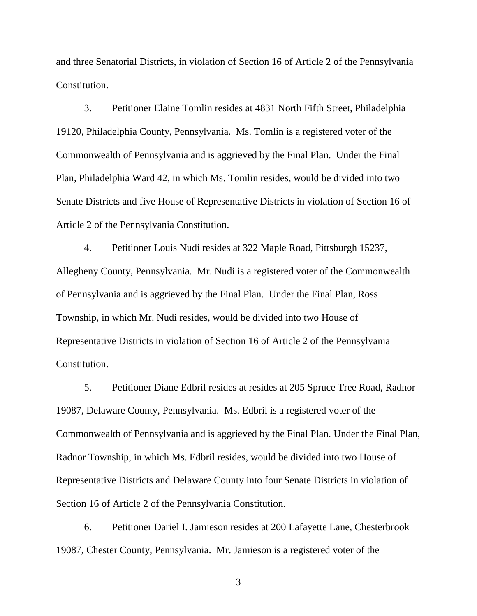and three Senatorial Districts, in violation of Section 16 of Article 2 of the Pennsylvania Constitution.

3. Petitioner Elaine Tomlin resides at 4831 North Fifth Street, Philadelphia 19120, Philadelphia County, Pennsylvania. Ms. Tomlin is a registered voter of the Commonwealth of Pennsylvania and is aggrieved by the Final Plan. Under the Final Plan, Philadelphia Ward 42, in which Ms. Tomlin resides, would be divided into two Senate Districts and five House of Representative Districts in violation of Section 16 of Article 2 of the Pennsylvania Constitution.

4. Petitioner Louis Nudi resides at 322 Maple Road, Pittsburgh 15237, Allegheny County, Pennsylvania. Mr. Nudi is a registered voter of the Commonwealth of Pennsylvania and is aggrieved by the Final Plan. Under the Final Plan, Ross Township, in which Mr. Nudi resides, would be divided into two House of Representative Districts in violation of Section 16 of Article 2 of the Pennsylvania Constitution.

5. Petitioner Diane Edbril resides at resides at 205 Spruce Tree Road, Radnor 19087, Delaware County, Pennsylvania. Ms. Edbril is a registered voter of the Commonwealth of Pennsylvania and is aggrieved by the Final Plan. Under the Final Plan, Radnor Township, in which Ms. Edbril resides, would be divided into two House of Representative Districts and Delaware County into four Senate Districts in violation of Section 16 of Article 2 of the Pennsylvania Constitution.

6. Petitioner Dariel I. Jamieson resides at 200 Lafayette Lane, Chesterbrook 19087, Chester County, Pennsylvania. Mr. Jamieson is a registered voter of the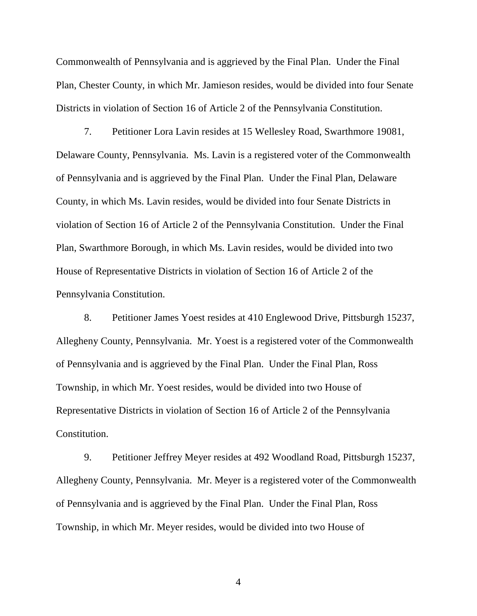Commonwealth of Pennsylvania and is aggrieved by the Final Plan. Under the Final Plan, Chester County, in which Mr. Jamieson resides, would be divided into four Senate Districts in violation of Section 16 of Article 2 of the Pennsylvania Constitution.

7. Petitioner Lora Lavin resides at 15 Wellesley Road, Swarthmore 19081, Delaware County, Pennsylvania. Ms. Lavin is a registered voter of the Commonwealth of Pennsylvania and is aggrieved by the Final Plan. Under the Final Plan, Delaware County, in which Ms. Lavin resides, would be divided into four Senate Districts in violation of Section 16 of Article 2 of the Pennsylvania Constitution. Under the Final Plan, Swarthmore Borough, in which Ms. Lavin resides, would be divided into two House of Representative Districts in violation of Section 16 of Article 2 of the Pennsylvania Constitution.

8. Petitioner James Yoest resides at 410 Englewood Drive, Pittsburgh 15237, Allegheny County, Pennsylvania. Mr. Yoest is a registered voter of the Commonwealth of Pennsylvania and is aggrieved by the Final Plan. Under the Final Plan, Ross Township, in which Mr. Yoest resides, would be divided into two House of Representative Districts in violation of Section 16 of Article 2 of the Pennsylvania Constitution.

9. Petitioner Jeffrey Meyer resides at 492 Woodland Road, Pittsburgh 15237, Allegheny County, Pennsylvania. Mr. Meyer is a registered voter of the Commonwealth of Pennsylvania and is aggrieved by the Final Plan. Under the Final Plan, Ross Township, in which Mr. Meyer resides, would be divided into two House of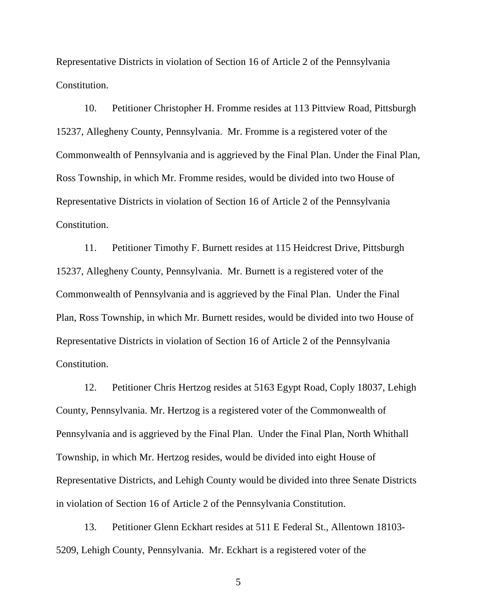Representative Districts in violation of Section 16 of Article 2 of the Pennsylvania Constitution.

10. Petitioner Christopher H. Fromme resides at 113 Pittview Road, Pittsburgh 15237, Allegheny County, Pennsylvania. Mr. Fromme is a registered voter of the Commonwealth of Pennsylvania and is aggrieved by the Final Plan. Under the Final Plan, Ross Township, in which Mr. Fromme resides, would be divided into two House of Representative Districts in violation of Section 16 of Article 2 of the Pennsylvania Constitution.

11. Petitioner Timothy F. Burnett resides at 115 Heidcrest Drive, Pittsburgh 15237, Allegheny County, Pennsylvania. Mr. Burnett is a registered voter of the Commonwealth of Pennsylvania and is aggrieved by the Final Plan. Under the Final Plan, Ross Township, in which Mr. Burnett resides, would be divided into two House of Representative Districts in violation of Section 16 of Article 2 of the Pennsylvania Constitution.

12. Petitioner Chris Hertzog resides at 5163 Egypt Road, Coply 18037, Lehigh County, Pennsylvania. Mr. Hertzog is a registered voter of the Commonwealth of Pennsylvania and is aggrieved by the Final Plan. Under the Final Plan, North Whithall Township, in which Mr. Hertzog resides, would be divided into eight House of Representative Districts, and Lehigh County would be divided into three Senate Districts in violation of Section 16 of Article 2 of the Pennsylvania Constitution.

13. Petitioner Glenn Eckhart resides at 511 E Federal St., Allentown 18103- 5209, Lehigh County, Pennsylvania. Mr. Eckhart is a registered voter of the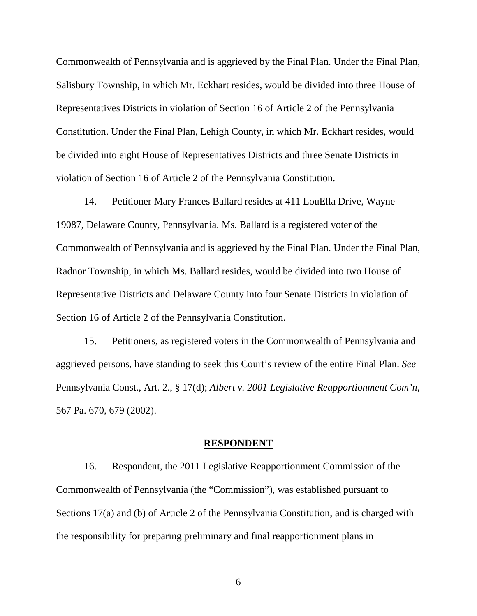Commonwealth of Pennsylvania and is aggrieved by the Final Plan. Under the Final Plan, Salisbury Township, in which Mr. Eckhart resides, would be divided into three House of Representatives Districts in violation of Section 16 of Article 2 of the Pennsylvania Constitution. Under the Final Plan, Lehigh County, in which Mr. Eckhart resides, would be divided into eight House of Representatives Districts and three Senate Districts in violation of Section 16 of Article 2 of the Pennsylvania Constitution.

14. Petitioner Mary Frances Ballard resides at 411 LouElla Drive, Wayne 19087, Delaware County, Pennsylvania. Ms. Ballard is a registered voter of the Commonwealth of Pennsylvania and is aggrieved by the Final Plan. Under the Final Plan, Radnor Township, in which Ms. Ballard resides, would be divided into two House of Representative Districts and Delaware County into four Senate Districts in violation of Section 16 of Article 2 of the Pennsylvania Constitution.

15. Petitioners, as registered voters in the Commonwealth of Pennsylvania and aggrieved persons, have standing to seek this Court's review of the entire Final Plan. *See* Pennsylvania Const., Art. 2., § 17(d); *Albert v. 2001 Legislative Reapportionment Com'n*, 567 Pa. 670, 679 (2002).

#### **RESPONDENT**

16. Respondent, the 2011 Legislative Reapportionment Commission of the Commonwealth of Pennsylvania (the "Commission"), was established pursuant to Sections 17(a) and (b) of Article 2 of the Pennsylvania Constitution, and is charged with the responsibility for preparing preliminary and final reapportionment plans in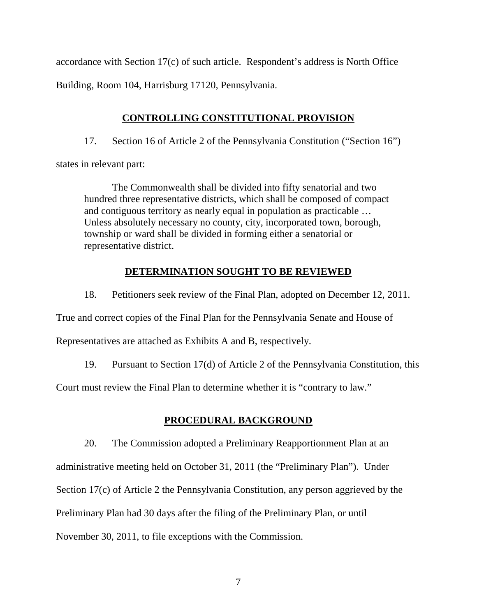accordance with Section 17(c) of such article. Respondent's address is North Office Building, Room 104, Harrisburg 17120, Pennsylvania.

# **CONTROLLING CONSTITUTIONAL PROVISION**

17. Section 16 of Article 2 of the Pennsylvania Constitution ("Section 16")

states in relevant part:

 The Commonwealth shall be divided into fifty senatorial and two hundred three representative districts, which shall be composed of compact and contiguous territory as nearly equal in population as practicable … Unless absolutely necessary no county, city, incorporated town, borough, township or ward shall be divided in forming either a senatorial or representative district.

# **DETERMINATION SOUGHT TO BE REVIEWED**

18. Petitioners seek review of the Final Plan, adopted on December 12, 2011. True and correct copies of the Final Plan for the Pennsylvania Senate and House of Representatives are attached as Exhibits A and B, respectively.

19. Pursuant to Section 17(d) of Article 2 of the Pennsylvania Constitution, this

Court must review the Final Plan to determine whether it is "contrary to law."

# **PROCEDURAL BACKGROUND**

20. The Commission adopted a Preliminary Reapportionment Plan at an administrative meeting held on October 31, 2011 (the "Preliminary Plan"). Under Section 17(c) of Article 2 the Pennsylvania Constitution, any person aggrieved by the Preliminary Plan had 30 days after the filing of the Preliminary Plan, or until November 30, 2011, to file exceptions with the Commission.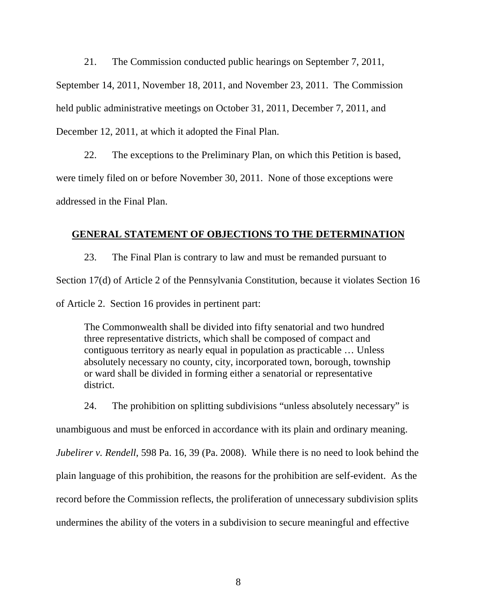21. The Commission conducted public hearings on September 7, 2011,

September 14, 2011, November 18, 2011, and November 23, 2011. The Commission held public administrative meetings on October 31, 2011, December 7, 2011, and December 12, 2011, at which it adopted the Final Plan.

22. The exceptions to the Preliminary Plan, on which this Petition is based, were timely filed on or before November 30, 2011. None of those exceptions were addressed in the Final Plan.

## **GENERAL STATEMENT OF OBJECTIONS TO THE DETERMINATION**

23. The Final Plan is contrary to law and must be remanded pursuant to Section 17(d) of Article 2 of the Pennsylvania Constitution, because it violates Section 16 of Article 2. Section 16 provides in pertinent part:

The Commonwealth shall be divided into fifty senatorial and two hundred three representative districts, which shall be composed of compact and contiguous territory as nearly equal in population as practicable … Unless absolutely necessary no county, city, incorporated town, borough, township or ward shall be divided in forming either a senatorial or representative district.

24. The prohibition on splitting subdivisions "unless absolutely necessary" is

unambiguous and must be enforced in accordance with its plain and ordinary meaning.

*Jubelirer v. Rendell*, 598 Pa. 16, 39 (Pa. 2008). While there is no need to look behind the

plain language of this prohibition, the reasons for the prohibition are self-evident. As the

record before the Commission reflects, the proliferation of unnecessary subdivision splits

undermines the ability of the voters in a subdivision to secure meaningful and effective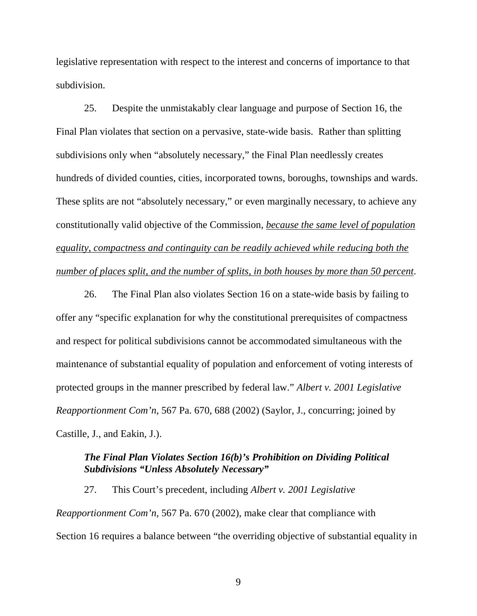legislative representation with respect to the interest and concerns of importance to that subdivision.

25. Despite the unmistakably clear language and purpose of Section 16, the Final Plan violates that section on a pervasive, state-wide basis. Rather than splitting subdivisions only when "absolutely necessary," the Final Plan needlessly creates hundreds of divided counties, cities, incorporated towns, boroughs, townships and wards. These splits are not "absolutely necessary," or even marginally necessary, to achieve any constitutionally valid objective of the Commission, *because the same level of population equality, compactness and continguity can be readily achieved while reducing both the number of places split, and the number of splits, in both houses by more than 50 percent*.

26. The Final Plan also violates Section 16 on a state-wide basis by failing to offer any "specific explanation for why the constitutional prerequisites of compactness and respect for political subdivisions cannot be accommodated simultaneous with the maintenance of substantial equality of population and enforcement of voting interests of protected groups in the manner prescribed by federal law." *Albert v. 2001 Legislative Reapportionment Com'n*, 567 Pa. 670, 688 (2002) (Saylor, J., concurring; joined by Castille, J., and Eakin, J.).

## *The Final Plan Violates Section 16(b)'s Prohibition on Dividing Political Subdivisions "Unless Absolutely Necessary"*

27. This Court's precedent, including *Albert v. 2001 Legislative Reapportionment Com'n*, 567 Pa. 670 (2002), make clear that compliance with Section 16 requires a balance between "the overriding objective of substantial equality in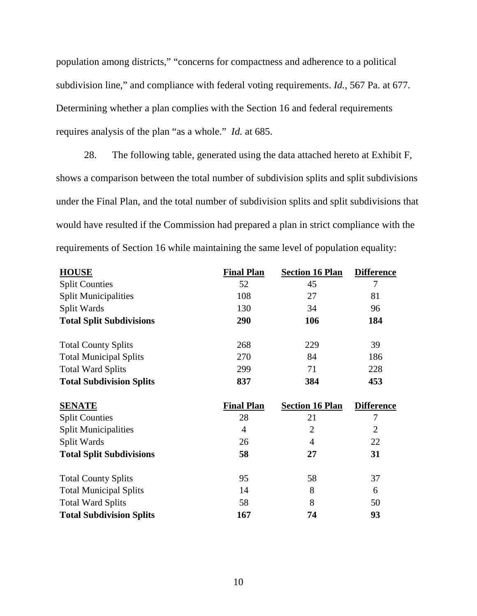population among districts," "concerns for compactness and adherence to a political subdivision line," and compliance with federal voting requirements. *Id.*, 567 Pa. at 677. Determining whether a plan complies with the Section 16 and federal requirements requires analysis of the plan "as a whole." *Id.* at 685.

28. The following table, generated using the data attached hereto at Exhibit F, shows a comparison between the total number of subdivision splits and split subdivisions under the Final Plan, and the total number of subdivision splits and split subdivisions that would have resulted if the Commission had prepared a plan in strict compliance with the requirements of Section 16 while maintaining the same level of population equality:

| <b>HOUSE</b>                    | <b>Final Plan</b> | <b>Section 16 Plan</b> | <b>Difference</b> |
|---------------------------------|-------------------|------------------------|-------------------|
| <b>Split Counties</b>           | 52                | 45                     | 7                 |
| <b>Split Municipalities</b>     | 108               | 27                     | 81                |
| Split Wards                     | 130               | 34                     | 96                |
| <b>Total Split Subdivisions</b> | 290               | 106                    | 184               |
| <b>Total County Splits</b>      | 268               | 229                    | 39                |
| <b>Total Municipal Splits</b>   | 270               | 84                     | 186               |
| <b>Total Ward Splits</b>        | 299               | 71                     | 228               |
| <b>Total Subdivision Splits</b> | 837               | 384                    | 453               |
| <b>SENATE</b>                   | <b>Final Plan</b> | <b>Section 16 Plan</b> | <b>Difference</b> |
| <b>Split Counties</b>           | 28                | 21                     | 7                 |
| <b>Split Municipalities</b>     | $\overline{4}$    | $\overline{2}$         | $\overline{2}$    |
| Split Wards                     | 26                | 4                      | 22                |
| <b>Total Split Subdivisions</b> | 58                | 27                     | 31                |
| <b>Total County Splits</b>      | 95                | 58                     | 37                |
| <b>Total Municipal Splits</b>   | 14                | 8                      | 6                 |
| <b>Total Ward Splits</b>        | 58                | 8                      | 50                |
| <b>Total Subdivision Splits</b> | 167               | 74                     | 93                |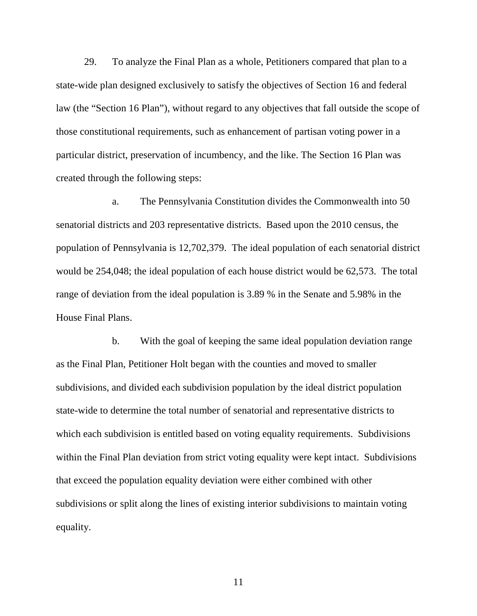29. To analyze the Final Plan as a whole, Petitioners compared that plan to a state-wide plan designed exclusively to satisfy the objectives of Section 16 and federal law (the "Section 16 Plan"), without regard to any objectives that fall outside the scope of those constitutional requirements, such as enhancement of partisan voting power in a particular district, preservation of incumbency, and the like. The Section 16 Plan was created through the following steps:

a. The Pennsylvania Constitution divides the Commonwealth into 50 senatorial districts and 203 representative districts. Based upon the 2010 census, the population of Pennsylvania is 12,702,379. The ideal population of each senatorial district would be 254,048; the ideal population of each house district would be 62,573. The total range of deviation from the ideal population is 3.89 % in the Senate and 5.98% in the House Final Plans.

b. With the goal of keeping the same ideal population deviation range as the Final Plan, Petitioner Holt began with the counties and moved to smaller subdivisions, and divided each subdivision population by the ideal district population state-wide to determine the total number of senatorial and representative districts to which each subdivision is entitled based on voting equality requirements. Subdivisions within the Final Plan deviation from strict voting equality were kept intact. Subdivisions that exceed the population equality deviation were either combined with other subdivisions or split along the lines of existing interior subdivisions to maintain voting equality.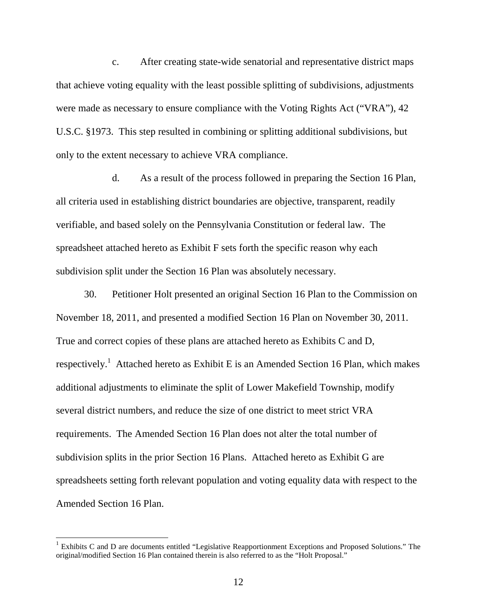c. After creating state-wide senatorial and representative district maps that achieve voting equality with the least possible splitting of subdivisions, adjustments were made as necessary to ensure compliance with the Voting Rights Act ("VRA"), 42 U.S.C. §1973. This step resulted in combining or splitting additional subdivisions, but only to the extent necessary to achieve VRA compliance.

d. As a result of the process followed in preparing the Section 16 Plan, all criteria used in establishing district boundaries are objective, transparent, readily verifiable, and based solely on the Pennsylvania Constitution or federal law. The spreadsheet attached hereto as Exhibit F sets forth the specific reason why each subdivision split under the Section 16 Plan was absolutely necessary.

30. Petitioner Holt presented an original Section 16 Plan to the Commission on November 18, 2011, and presented a modified Section 16 Plan on November 30, 2011. True and correct copies of these plans are attached hereto as Exhibits C and D, respectively.<sup>1</sup> Attached hereto as Exhibit E is an Amended Section 16 Plan, which makes additional adjustments to eliminate the split of Lower Makefield Township, modify several district numbers, and reduce the size of one district to meet strict VRA requirements. The Amended Section 16 Plan does not alter the total number of subdivision splits in the prior Section 16 Plans. Attached hereto as Exhibit G are spreadsheets setting forth relevant population and voting equality data with respect to the Amended Section 16 Plan.

-

<sup>&</sup>lt;sup>1</sup> Exhibits C and D are documents entitled "Legislative Reapportionment Exceptions and Proposed Solutions." The original/modified Section 16 Plan contained therein is also referred to as the "Holt Proposal."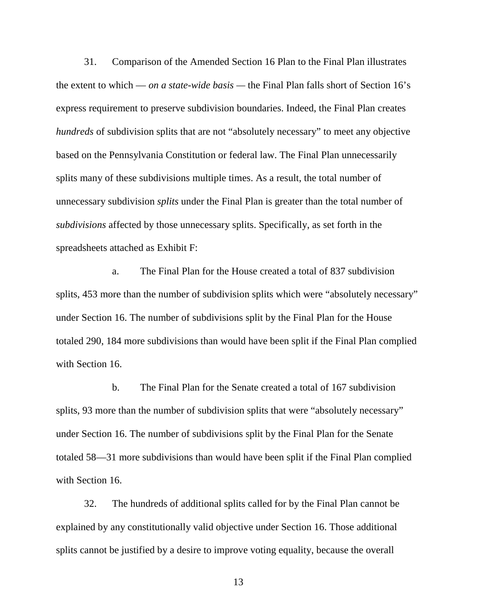31. Comparison of the Amended Section 16 Plan to the Final Plan illustrates the extent to which — *on a state-wide basis —* the Final Plan falls short of Section 16's express requirement to preserve subdivision boundaries. Indeed, the Final Plan creates *hundreds* of subdivision splits that are not "absolutely necessary" to meet any objective based on the Pennsylvania Constitution or federal law. The Final Plan unnecessarily splits many of these subdivisions multiple times. As a result, the total number of unnecessary subdivision *splits* under the Final Plan is greater than the total number of *subdivisions* affected by those unnecessary splits. Specifically, as set forth in the spreadsheets attached as Exhibit F:

a. The Final Plan for the House created a total of 837 subdivision splits, 453 more than the number of subdivision splits which were "absolutely necessary" under Section 16. The number of subdivisions split by the Final Plan for the House totaled 290, 184 more subdivisions than would have been split if the Final Plan complied with Section 16.

b. The Final Plan for the Senate created a total of 167 subdivision splits, 93 more than the number of subdivision splits that were "absolutely necessary" under Section 16. The number of subdivisions split by the Final Plan for the Senate totaled 58—31 more subdivisions than would have been split if the Final Plan complied with Section 16.

32. The hundreds of additional splits called for by the Final Plan cannot be explained by any constitutionally valid objective under Section 16. Those additional splits cannot be justified by a desire to improve voting equality, because the overall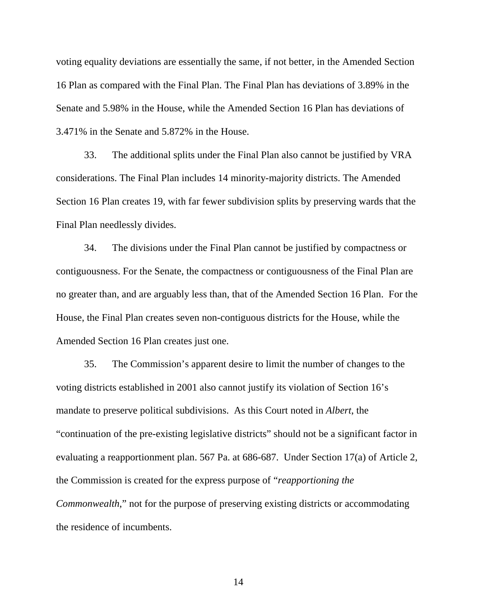voting equality deviations are essentially the same, if not better, in the Amended Section 16 Plan as compared with the Final Plan. The Final Plan has deviations of 3.89% in the Senate and 5.98% in the House, while the Amended Section 16 Plan has deviations of 3.471% in the Senate and 5.872% in the House.

33. The additional splits under the Final Plan also cannot be justified by VRA considerations. The Final Plan includes 14 minority-majority districts. The Amended Section 16 Plan creates 19, with far fewer subdivision splits by preserving wards that the Final Plan needlessly divides.

34. The divisions under the Final Plan cannot be justified by compactness or contiguousness. For the Senate, the compactness or contiguousness of the Final Plan are no greater than, and are arguably less than, that of the Amended Section 16 Plan. For the House, the Final Plan creates seven non-contiguous districts for the House, while the Amended Section 16 Plan creates just one.

35. The Commission's apparent desire to limit the number of changes to the voting districts established in 2001 also cannot justify its violation of Section 16's mandate to preserve political subdivisions. As this Court noted in *Albert*, the "continuation of the pre-existing legislative districts" should not be a significant factor in evaluating a reapportionment plan. 567 Pa. at 686-687. Under Section 17(a) of Article 2, the Commission is created for the express purpose of "*reapportioning the Commonwealth*," not for the purpose of preserving existing districts or accommodating the residence of incumbents.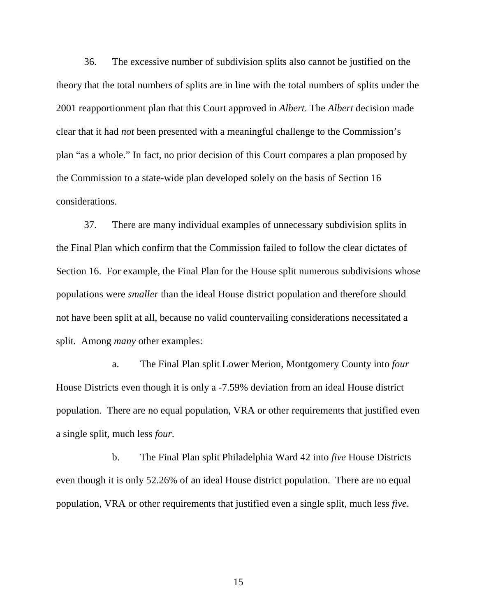36. The excessive number of subdivision splits also cannot be justified on the theory that the total numbers of splits are in line with the total numbers of splits under the 2001 reapportionment plan that this Court approved in *Albert*. The *Albert* decision made clear that it had *not* been presented with a meaningful challenge to the Commission's plan "as a whole." In fact, no prior decision of this Court compares a plan proposed by the Commission to a state-wide plan developed solely on the basis of Section 16 considerations.

37. There are many individual examples of unnecessary subdivision splits in the Final Plan which confirm that the Commission failed to follow the clear dictates of Section 16. For example, the Final Plan for the House split numerous subdivisions whose populations were *smaller* than the ideal House district population and therefore should not have been split at all, because no valid countervailing considerations necessitated a split. Among *many* other examples:

a. The Final Plan split Lower Merion, Montgomery County into *four* House Districts even though it is only a -7.59% deviation from an ideal House district population. There are no equal population, VRA or other requirements that justified even a single split, much less *four*.

b. The Final Plan split Philadelphia Ward 42 into *five* House Districts even though it is only 52.26% of an ideal House district population. There are no equal population, VRA or other requirements that justified even a single split, much less *five*.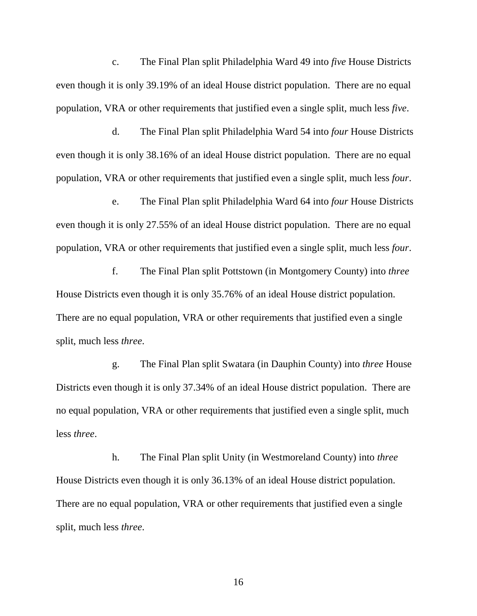c. The Final Plan split Philadelphia Ward 49 into *five* House Districts even though it is only 39.19% of an ideal House district population. There are no equal population, VRA or other requirements that justified even a single split, much less *five*.

d. The Final Plan split Philadelphia Ward 54 into *four* House Districts even though it is only 38.16% of an ideal House district population. There are no equal population, VRA or other requirements that justified even a single split, much less *four*.

e. The Final Plan split Philadelphia Ward 64 into *four* House Districts even though it is only 27.55% of an ideal House district population. There are no equal population, VRA or other requirements that justified even a single split, much less *four*.

f. The Final Plan split Pottstown (in Montgomery County) into *three* House Districts even though it is only 35.76% of an ideal House district population. There are no equal population, VRA or other requirements that justified even a single split, much less *three*.

g. The Final Plan split Swatara (in Dauphin County) into *three* House Districts even though it is only 37.34% of an ideal House district population. There are no equal population, VRA or other requirements that justified even a single split, much less *three*.

h. The Final Plan split Unity (in Westmoreland County) into *three* House Districts even though it is only 36.13% of an ideal House district population. There are no equal population, VRA or other requirements that justified even a single split, much less *three*.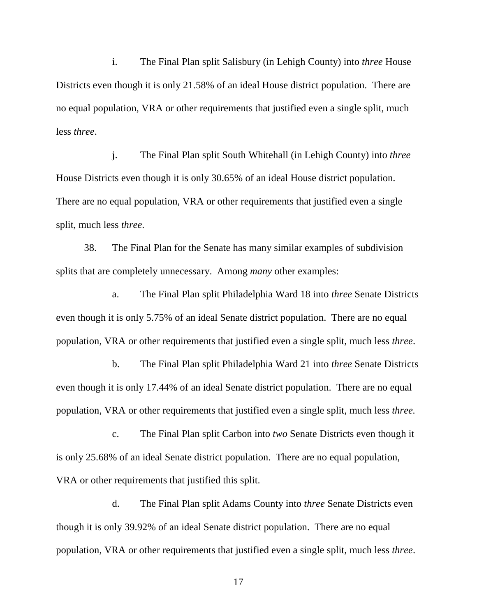i. The Final Plan split Salisbury (in Lehigh County) into *three* House Districts even though it is only 21.58% of an ideal House district population. There are no equal population, VRA or other requirements that justified even a single split, much less *three*.

j. The Final Plan split South Whitehall (in Lehigh County) into *three* House Districts even though it is only 30.65% of an ideal House district population. There are no equal population, VRA or other requirements that justified even a single split, much less *three*.

38. The Final Plan for the Senate has many similar examples of subdivision splits that are completely unnecessary. Among *many* other examples:

a. The Final Plan split Philadelphia Ward 18 into *three* Senate Districts even though it is only 5.75% of an ideal Senate district population. There are no equal population, VRA or other requirements that justified even a single split, much less *three*.

b. The Final Plan split Philadelphia Ward 21 into *three* Senate Districts even though it is only 17.44% of an ideal Senate district population. There are no equal population, VRA or other requirements that justified even a single split, much less *three.*

c. The Final Plan split Carbon into *two* Senate Districts even though it is only 25.68% of an ideal Senate district population. There are no equal population, VRA or other requirements that justified this split.

d. The Final Plan split Adams County into *three* Senate Districts even though it is only 39.92% of an ideal Senate district population. There are no equal population, VRA or other requirements that justified even a single split, much less *three*.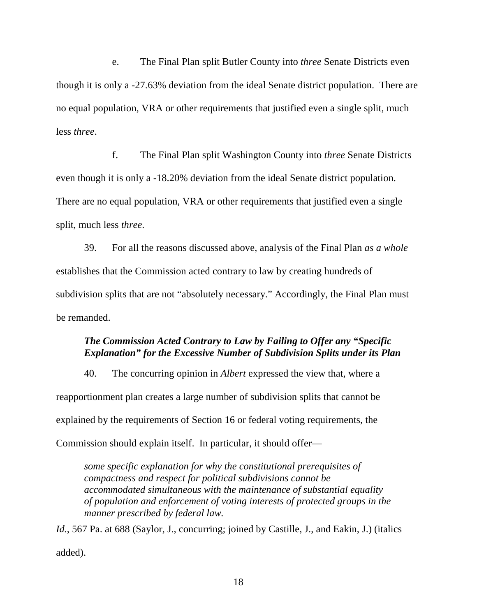e. The Final Plan split Butler County into *three* Senate Districts even though it is only a -27.63% deviation from the ideal Senate district population. There are no equal population, VRA or other requirements that justified even a single split, much less *three*.

f. The Final Plan split Washington County into *three* Senate Districts even though it is only a -18.20% deviation from the ideal Senate district population. There are no equal population, VRA or other requirements that justified even a single split, much less *three*.

39. For all the reasons discussed above, analysis of the Final Plan *as a whole* establishes that the Commission acted contrary to law by creating hundreds of subdivision splits that are not "absolutely necessary." Accordingly, the Final Plan must be remanded.

## *The Commission Acted Contrary to Law by Failing to Offer any "Specific Explanation" for the Excessive Number of Subdivision Splits under its Plan*

40. The concurring opinion in *Albert* expressed the view that, where a reapportionment plan creates a large number of subdivision splits that cannot be explained by the requirements of Section 16 or federal voting requirements, the Commission should explain itself. In particular, it should offer—

*some specific explanation for why the constitutional prerequisites of compactness and respect for political subdivisions cannot be accommodated simultaneous with the maintenance of substantial equality of population and enforcement of voting interests of protected groups in the manner prescribed by federal law.* 

Id., 567 Pa. at 688 (Saylor, J., concurring; joined by Castille, J., and Eakin, J.) (italics added).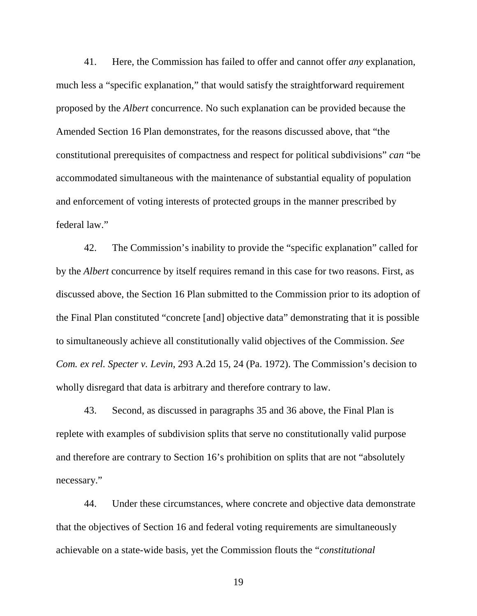41. Here, the Commission has failed to offer and cannot offer *any* explanation, much less a "specific explanation," that would satisfy the straightforward requirement proposed by the *Albert* concurrence. No such explanation can be provided because the Amended Section 16 Plan demonstrates, for the reasons discussed above, that "the constitutional prerequisites of compactness and respect for political subdivisions" *can* "be accommodated simultaneous with the maintenance of substantial equality of population and enforcement of voting interests of protected groups in the manner prescribed by federal law."

42. The Commission's inability to provide the "specific explanation" called for by the *Albert* concurrence by itself requires remand in this case for two reasons. First, as discussed above, the Section 16 Plan submitted to the Commission prior to its adoption of the Final Plan constituted "concrete [and] objective data" demonstrating that it is possible to simultaneously achieve all constitutionally valid objectives of the Commission. *See Com. ex rel. Specter v. Levin*, 293 A.2d 15, 24 (Pa. 1972). The Commission's decision to wholly disregard that data is arbitrary and therefore contrary to law.

43. Second, as discussed in paragraphs 35 and 36 above, the Final Plan is replete with examples of subdivision splits that serve no constitutionally valid purpose and therefore are contrary to Section 16's prohibition on splits that are not "absolutely necessary."

44. Under these circumstances, where concrete and objective data demonstrate that the objectives of Section 16 and federal voting requirements are simultaneously achievable on a state-wide basis, yet the Commission flouts the "*constitutional*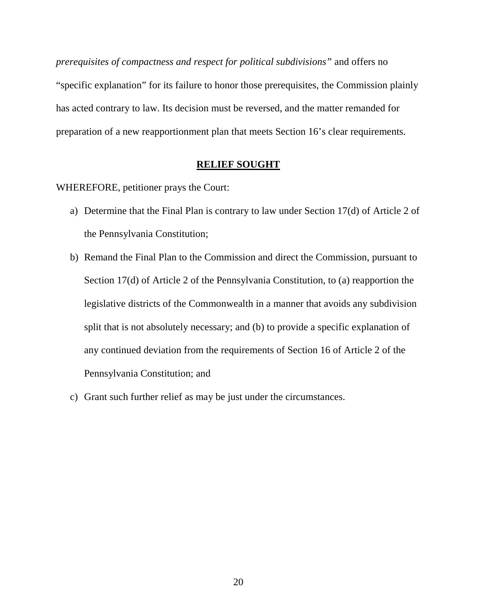*prerequisites of compactness and respect for political subdivisions"* and offers no "specific explanation" for its failure to honor those prerequisites, the Commission plainly has acted contrary to law. Its decision must be reversed, and the matter remanded for preparation of a new reapportionment plan that meets Section 16's clear requirements.

### **RELIEF SOUGHT**

WHEREFORE, petitioner prays the Court:

- a) Determine that the Final Plan is contrary to law under Section 17(d) of Article 2 of the Pennsylvania Constitution;
- b) Remand the Final Plan to the Commission and direct the Commission, pursuant to Section 17(d) of Article 2 of the Pennsylvania Constitution, to (a) reapportion the legislative districts of the Commonwealth in a manner that avoids any subdivision split that is not absolutely necessary; and (b) to provide a specific explanation of any continued deviation from the requirements of Section 16 of Article 2 of the Pennsylvania Constitution; and
- c) Grant such further relief as may be just under the circumstances.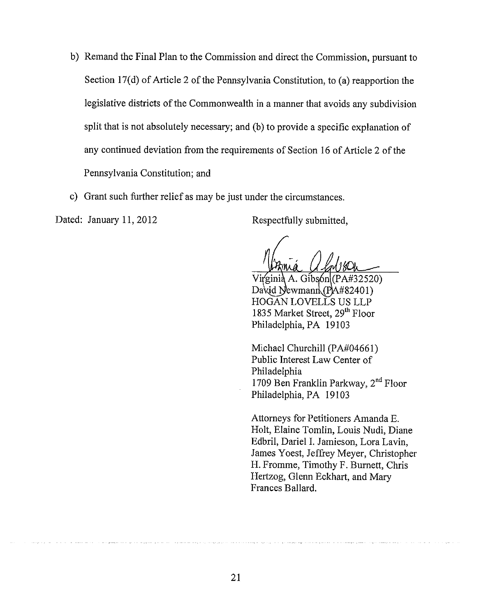- b) Remand the Final Plan to the Commission and direct the Commission, pursuant to Section 17(d) of Article 2 of the Pennsylvania Constitution, to (a) reapportion the legislative districts of the Commonwealth in a manner that avoids any subdivision split that is not absolutely necessary; and (b) to provide a specific explanation of any continued deviation from the requirements of Section 16 of Article 2 of the Pennsylvania Constitution; and
- c) Grant such further relief as may be just under the circumstances.

Dated: January 11, 2012

Respectfully submitted,

Virginia A. Gibson(PA#32520) David Newmann  $(PAA#82401)$ HOGAN LOVELLS US LLP 1835 Market Street, 29<sup>th</sup> Floor Philadelphia, PA 19103

Michael Churchill (PA#04661) Public Interest Law Center of Philadelphia 1709 Ben Franklin Parkway, 2<sup>nd</sup> Floor Philadelphia, PA 19103

Attorneys for Petitioners Amanda E. Holt, Elaine Tomlin, Louis Nudi, Diane Edbril, Dariel I. Jamieson, Lora Lavin, James Yoest, Jeffrey Meyer, Christopher H. Fromme, Timothy F. Burnett, Chris Hertzog, Glenn Eckhart, and Mary Frances Ballard.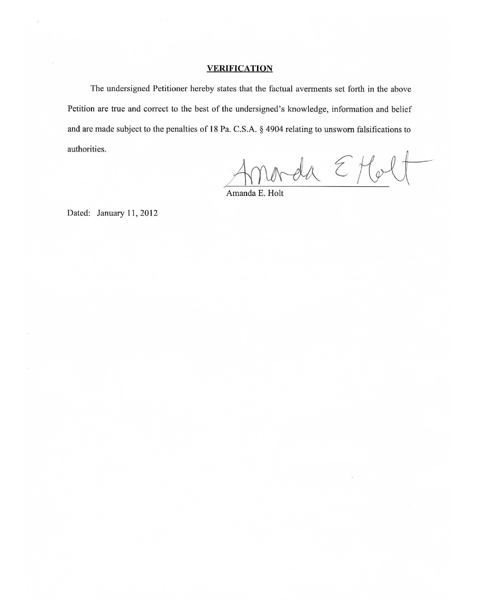#### **VERIFICATION**

The undersigned Petitioner hereby states that the factual averments set forth in the above Petition are true and correct to the best of the undersigned's knowledge, information and belief and are made subject to the penalties of 18 Pa. C.S.A. § 4904 relating to unsworn falsifications to authorities.

orda E Molt

Amanda E. Holt

Dated: January 11, 2012